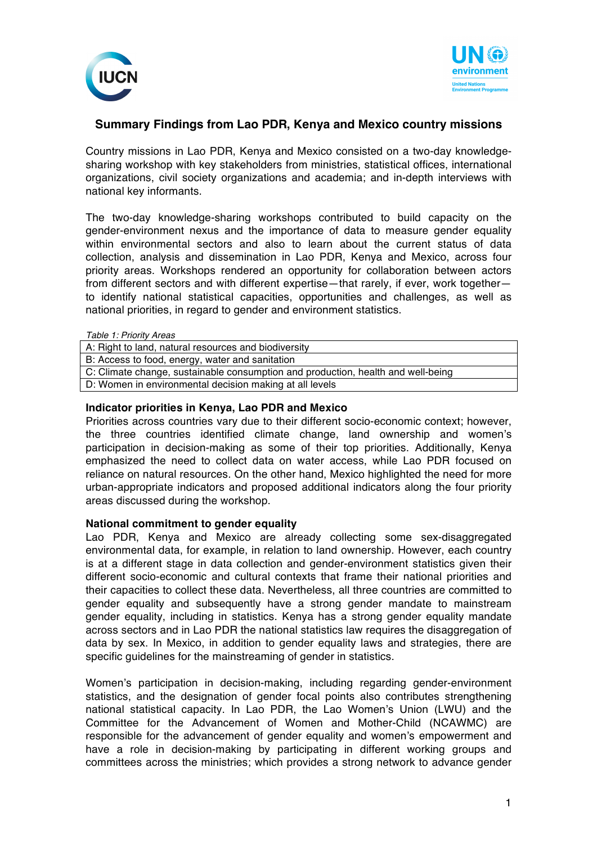



# **Summary Findings from Lao PDR, Kenya and Mexico country missions**

Country missions in Lao PDR, Kenya and Mexico consisted on a two-day knowledgesharing workshop with key stakeholders from ministries, statistical offices, international organizations, civil society organizations and academia; and in-depth interviews with national key informants.

The two-day knowledge-sharing workshops contributed to build capacity on the gender-environment nexus and the importance of data to measure gender equality within environmental sectors and also to learn about the current status of data collection, analysis and dissemination in Lao PDR, Kenya and Mexico, across four priority areas. Workshops rendered an opportunity for collaboration between actors from different sectors and with different expertise—that rarely, if ever, work together to identify national statistical capacities, opportunities and challenges, as well as national priorities, in regard to gender and environment statistics.

| Table 1: Priority Areas |
|-------------------------|
|-------------------------|

A: Right to land, natural resources and biodiversity B: Access to food, energy, water and sanitation C: Climate change, sustainable consumption and production, health and well-being D: Women in environmental decision making at all levels

### **Indicator priorities in Kenya, Lao PDR and Mexico**

Priorities across countries vary due to their different socio-economic context; however, the three countries identified climate change, land ownership and women's participation in decision-making as some of their top priorities. Additionally, Kenya emphasized the need to collect data on water access, while Lao PDR focused on reliance on natural resources. On the other hand, Mexico highlighted the need for more urban-appropriate indicators and proposed additional indicators along the four priority areas discussed during the workshop.

#### **National commitment to gender equality**

Lao PDR, Kenya and Mexico are already collecting some sex-disaggregated environmental data, for example, in relation to land ownership. However, each country is at a different stage in data collection and gender-environment statistics given their different socio-economic and cultural contexts that frame their national priorities and their capacities to collect these data. Nevertheless, all three countries are committed to gender equality and subsequently have a strong gender mandate to mainstream gender equality, including in statistics. Kenya has a strong gender equality mandate across sectors and in Lao PDR the national statistics law requires the disaggregation of data by sex. In Mexico, in addition to gender equality laws and strategies, there are specific guidelines for the mainstreaming of gender in statistics.

Women's participation in decision-making, including regarding gender-environment statistics, and the designation of gender focal points also contributes strengthening national statistical capacity. In Lao PDR, the Lao Women's Union (LWU) and the Committee for the Advancement of Women and Mother-Child (NCAWMC) are responsible for the advancement of gender equality and women's empowerment and have a role in decision-making by participating in different working groups and committees across the ministries; which provides a strong network to advance gender